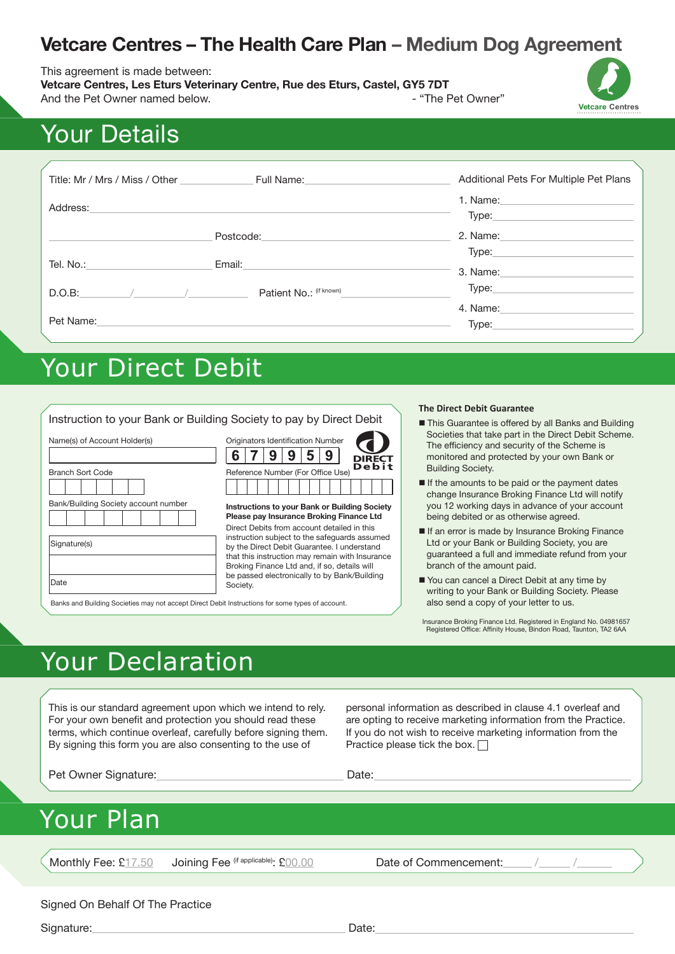### **Vetcare Centres – The Health Care Plan – Medium Dog Agreement**

#### This agreement is made between:

**Vetcare Centres, Les Eturs Veterinary Centre, Rue des Eturs, Castel, GY5 7DT** And the Pet Owner named below. And the Pet Owner"



# Your Details

| Title: Mr / Mrs / Miss / Other | Full Name:              | Additional Pets For Multiple Pet Plans |
|--------------------------------|-------------------------|----------------------------------------|
| Address:                       |                         | 1. Name:<br>Type:                      |
|                                | Postcode:               | 2. Name:                               |
| Tel. No.:                      | Email:                  | 3. Name:                               |
| D.O.B:                         | Patient No.: (if known) | Type:                                  |
| Pet Name:                      |                         | 4. Name:<br>Type:                      |

# Your Direct Debit

|                                                                                                          |                                                                                                                                                                                                                                                | <b>The Direct Debit Guarantee</b>                                                                                                                                                                                                        |
|----------------------------------------------------------------------------------------------------------|------------------------------------------------------------------------------------------------------------------------------------------------------------------------------------------------------------------------------------------------|------------------------------------------------------------------------------------------------------------------------------------------------------------------------------------------------------------------------------------------|
| Name(s) of Account Holder(s)                                                                             | Instruction to your Bank or Building Society to pay by Direct Debit<br>Originators Identification Number<br>9<br>5<br>6<br><b>DIRECT</b><br><b>Debit</b>                                                                                       | ■ This Guarantee is offered by all Banks and Building<br>Societies that take part in the Direct Debit Scheme.<br>The efficiency and security of the Scheme is<br>monitored and protected by your own Bank or<br><b>Building Society.</b> |
| <b>Branch Sort Code</b><br>Bank/Building Society account number                                          | Reference Number (For Office Use)<br>Instructions to your Bank or Building Society<br>Please pay Insurance Broking Finance Ltd                                                                                                                 | If the amounts to be paid or the payment dates<br>change Insurance Broking Finance Ltd will notify<br>you 12 working days in advance of your account<br>being debited or as otherwise agreed.                                            |
| Signature(s)                                                                                             | Direct Debits from account detailed in this<br>instruction subject to the safequards assumed<br>by the Direct Debit Guarantee. I understand<br>that this instruction may remain with Insurance<br>Broking Finance Ltd and, if so, details will | If an error is made by Insurance Broking Finance<br>Ltd or your Bank or Building Society, you are<br>quaranteed a full and immediate refund from your<br>branch of the amount paid.                                                      |
| Date<br>Banks and Building Societies may not accept Direct Debit Instructions for some types of account. | be passed electronically to by Bank/Building<br>Society.                                                                                                                                                                                       | ■ You can cancel a Direct Debit at any time by<br>writing to your Bank or Building Society. Please<br>also send a copy of your letter to us.                                                                                             |

Insurance Broking Finance Ltd. Registered in England No. 04981657 Registered Office: Affinity House, Bindon Road, Taunton, TA2 6AA

# Your Declaration

This is our standard agreement upon which we intend to rely. For your own benefit and protection you should read these terms, which continue overleaf, carefully before signing them. By signing this form you are also consenting to the use of

personal information as described in clause 4.1 overleaf and are opting to receive marketing information from the Practice. If you do not wish to receive marketing information from the Practice please tick the box.  $\Box$ 

Pet Owner Signature: Date: Date:

## Your Plan

Monthly Fee: £17.50 Joining Fee (if applicable): £00.00 Date of Commencement:

#### Signed On Behalf Of The Practice

Signature: Date: Date: Date: Date: Date: Date: Date: Date: Date: Date: Date: Date: Date: Date: Date: Date: Date: Date: Date: Date: Date: Date: Date: Date: Date: Date: Date: Date: Date: Date: Date: Date: Date: Date: Date: D